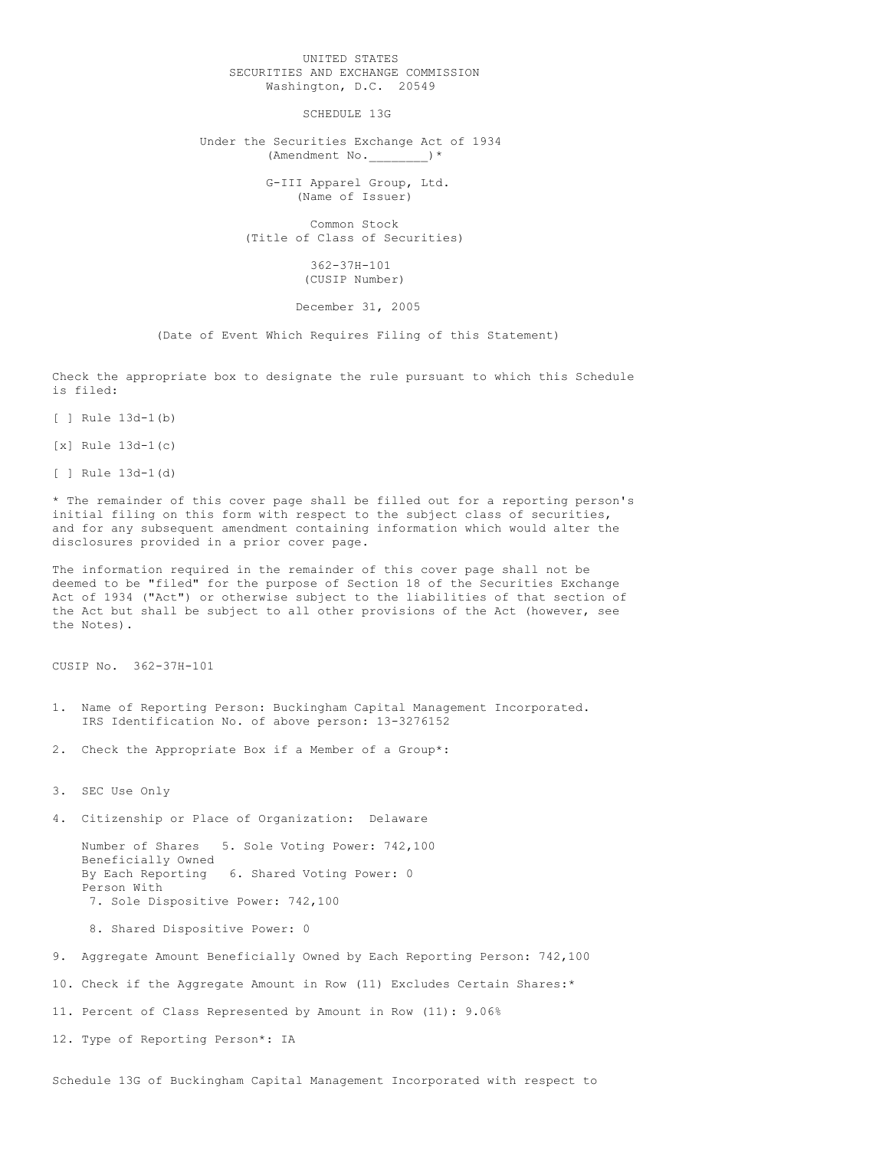## UNITED STATES SECURITIES AND EXCHANGE COMMISSION Washington, D.C. 20549

SCHEDULE 13G

Under the Securities Exchange Act of 1934 (Amendment No. )\*

> G-III Apparel Group, Ltd. (Name of Issuer)

Common Stock (Title of Class of Securities)

> 362-37H-101 (CUSIP Number)

## December 31, 2005

(Date of Event Which Requires Filing of this Statement)

Check the appropriate box to designate the rule pursuant to which this Schedule is filed:

[ ] Rule 13d-1(b)

[x] Rule 13d-1(c)

[ ] Rule 13d-1(d)

\* The remainder of this cover page shall be filled out for a reporting person's initial filing on this form with respect to the subject class of securities, and for any subsequent amendment containing information which would alter the disclosures provided in a prior cover page.

The information required in the remainder of this cover page shall not be deemed to be "filed" for the purpose of Section 18 of the Securities Exchange Act of 1934 ("Act") or otherwise subject to the liabilities of that section of the Act but shall be subject to all other provisions of the Act (however, see the Notes).

CUSIP No. 362-37H-101

- 1. Name of Reporting Person: Buckingham Capital Management Incorporated. IRS Identification No. of above person: 13-3276152
- 2. Check the Appropriate Box if a Member of a Group\*:

3. SEC Use Only

4. Citizenship or Place of Organization: Delaware

Number of Shares 5. Sole Voting Power: 742,100 Beneficially Owned<br>By Each Reporting 6. Shared Voting Power: 0 Person With 7. Sole Dispositive Power: 742,100

8. Shared Dispositive Power: 0

9. Aggregate Amount Beneficially Owned by Each Reporting Person: 742,100

10. Check if the Aggregate Amount in Row (11) Excludes Certain Shares:\*

11. Percent of Class Represented by Amount in Row (11): 9.06%

12. Type of Reporting Person\*: IA

Schedule 13G of Buckingham Capital Management Incorporated with respect to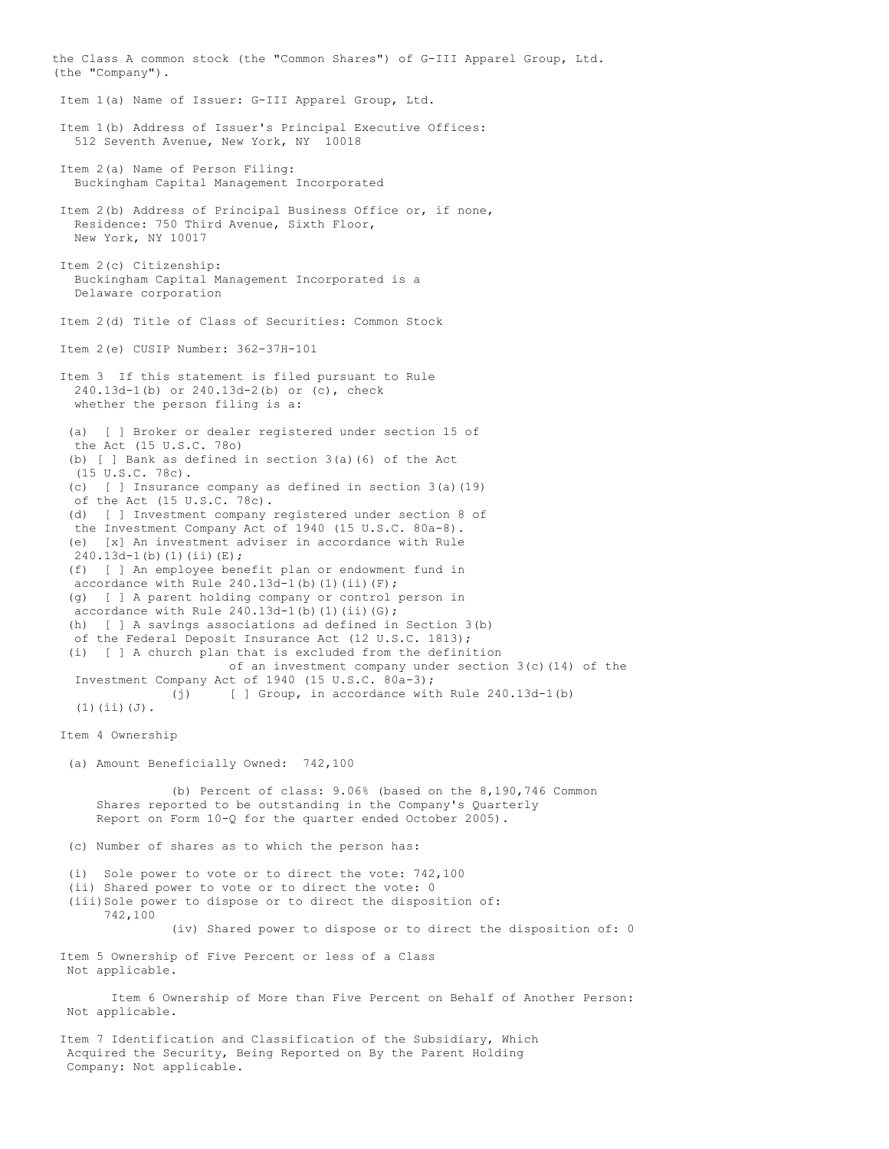the Class A common stock (the "Common Shares") of G-III Apparel Group, Ltd. (the "Company"). Item 1(a) Name of Issuer: G-III Apparel Group, Ltd. Item 1(b) Address of Issuer's Principal Executive Offices: 512 Seventh Avenue, New York, NY 10018 Item 2(a) Name of Person Filing: Buckingham Capital Management Incorporated Item 2(b) Address of Principal Business Office or, if none, Residence: 750 Third Avenue, Sixth Floor, New York, NY 10017 Item 2(c) Citizenship: Buckingham Capital Management Incorporated is a Delaware corporation Item 2(d) Title of Class of Securities: Common Stock Item 2(e) CUSIP Number: 362-37H-101 Item 3 If this statement is filed pursuant to Rule 240.13d-1(b) or 240.13d-2(b) or (c), check whether the person filing is a: (a) [ ] Broker or dealer registered under section 15 of the Act (15 U.S.C. 78o) (b) [ ] Bank as defined in section 3(a)(6) of the Act (15 U.S.C. 78c). (c) [ ] Insurance company as defined in section 3(a)(19) of the Act (15 U.S.C. 78c). (d) [ ] Investment company registered under section 8 of the Investment Company Act of 1940 (15 U.S.C. 80a-8). (e) [x] An investment adviser in accordance with Rule  $240.13d-1(b)(1)(ii)(E);$ (f) [ ] An employee benefit plan or endowment fund in accordance with Rule  $240.13d-1$ (b)(1)(ii)(F); (g) [ ] A parent holding company or control person in accordance with Rule  $240.13d-1$ (b)(1)(ii)(G); (h) [ ] A savings associations ad defined in Section 3(b) of the Federal Deposit Insurance Act (12 U.S.C. 1813); (i) [ ] A church plan that is excluded from the definition of an investment company under section  $3(c)(14)$  of the Investment Company Act of 1940 (15 U.S.C. 80a-3); (j) [ ] Group, in accordance with Rule 240.13d-1(b) (1)(ii)(J). Item 4 Ownership (a) Amount Beneficially Owned: 742,100 (b) Percent of class: 9.06% (based on the 8,190,746 Common Shares reported to be outstanding in the Company's Quarterly Report on Form 10-Q for the quarter ended October 2005). (c) Number of shares as to which the person has: (i) Sole power to vote or to direct the vote: 742,100 (ii) Shared power to vote or to direct the vote: 0 (iii)Sole power to dispose or to direct the disposition of: 742,100 (iv) Shared power to dispose or to direct the disposition of: 0 Item 5 Ownership of Five Percent or less of a Class Not applicable. Item 6 Ownership of More than Five Percent on Behalf of Another Person: Not applicable. Item 7 Identification and Classification of the Subsidiary, Which Acquired the Security, Being Reported on By the Parent Holding Company: Not applicable.